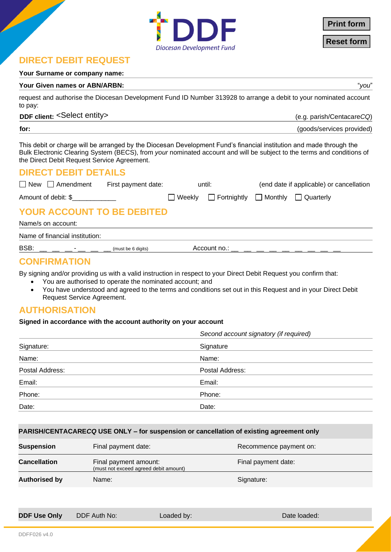

**Print form**<br>Reset form

# **DIRECT DEBIT REQUEST**

### **Your Surname or company name:**

### **Your Given names or ABN/ARBN:** "*you*"

request and authorise the Diocesan Development Fund ID Number 313928 to arrange a debit to your nominated account to pay:

### DDF client: <Select entity>

**DDF client:** (e.g. parish/Centacare*CQ*)

| for: | (goods/services provided) |  |
|------|---------------------------|--|
|      |                           |  |

This debit or charge will be arranged by the Diocesan Development Fund's financial institution and made through the Bulk Electronic Clearing System (BECS), from *your* nominated account and will be subject to the terms and conditions of the Direct Debit Request Service Agreement.

# **DIRECT DEBIT DETAILS**

| $\Box$ New $\Box$ Amendment       | First payment date: | until: |                                              | (end date if applicable) or cancellation |  |
|-----------------------------------|---------------------|--------|----------------------------------------------|------------------------------------------|--|
| Amount of debit: \$               |                     |        | □ Weekly □ Fortnightly □ Monthly □ Quarterly |                                          |  |
| <b>YOUR ACCOUNT TO BE DEBITED</b> |                     |        |                                              |                                          |  |
| Name/s on account:                |                     |        |                                              |                                          |  |
| Name of financial institution:    |                     |        |                                              |                                          |  |
|                                   |                     |        |                                              |                                          |  |

 $\text{BSB:}$  \_\_ \_ \_ \_ \_ \_ \_ \_ \_ \_ (must be 6 digits) Account no.:

# **CONFIRMATION**

By signing and/or providing us with a valid instruction in respect to your Direct Debit Request you confirm that:

- You are authorised to operate the nominated account; and
- You have understood and agreed to the terms and conditions set out in this Request and in your Direct Debit Request Service Agreement.

# **AUTHORISATION**

# **Signed in accordance with the account authority on your account**

|                 | Second account signatory (if required) |  |  |
|-----------------|----------------------------------------|--|--|
| Signature:      | Signature                              |  |  |
| Name:           | Name:                                  |  |  |
| Postal Address: | Postal Address:                        |  |  |
| Email:          | Email:                                 |  |  |
| Phone:          | Phone:                                 |  |  |
| Date:           | Date:                                  |  |  |

# **PARISH/CENTACARE***CQ* **USE ONLY – for suspension or cancellation of existing agreement only**

| <b>Suspension</b>    | Final payment date:                                            | Recommence payment on: |
|----------------------|----------------------------------------------------------------|------------------------|
| <b>Cancellation</b>  | Final payment amount:<br>(must not exceed agreed debit amount) | Final payment date:    |
| <b>Authorised by</b> | Name:                                                          | Signature:             |

**DDF Use Only** DDF Auth No: Loaded by: Loaded by: Date loaded: